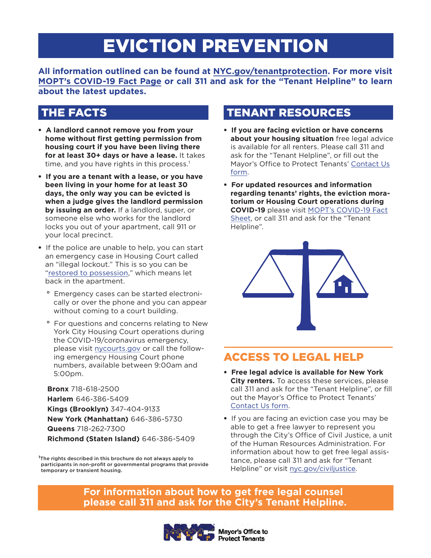# EVICTION PREVENTION

**All information outlined can be found at [NYC.gov/tenantprotection.](https://www1.nyc.gov/content/tenantprotection/pages/) For more visit [MOPT's COVID-19 Fact Page](https://www1.nyc.gov/content/tenantprotection/pages/covid19-home-quarantine) or call 311 and ask for the "Tenant Helpline" to learn about the latest updates.**

- **A landlord cannot remove you from your home without first getting permission from housing court if you have been living there for at least 30+ days or have a lease.** It takes time, and you have rights in this process.<sup>1</sup>
- **If you are a tenant with a lease, or you have been living in your home for at least 30 days, the only way you can be evicted is when a judge gives the landlord permission by issuing an order.** If a landlord, super, or someone else who works for the landlord locks you out of your apartment, call 911 or your local precinct.
- •If the police are unable to help, you can start an emergency case in Housing Court called an "illegal lockout." This is so you can be ["restored to possession,](https://www.nycourts.gov/courts/nyc/housing/lockouts.shtml)" which means let back in the apartment.
	- **°** Emergency cases can be started electronically or over the phone and you can appear without coming to a court building.
	- **°** For questions and concerns relating to New York City Housing Court operations during the COVID-19/coronavirus emergency, please visit [nycourts.gov](https://www.nycourts.gov/) or call the following emergency Housing Court phone numbers, available between 9:00am and 5:00pm.

**Bronx** 718-618-2500 **Harlem** 646-386-5409 **Kings (Brooklyn)** 347-404-9133 **New York (Manhattan)** 646-386-5730 **Queens** 718-262-7300 **Richmond (Staten Island)** 646-386-5409

**<sup>1</sup>**The rights described in this brochure do not always apply to participants in non-profit or governmental programs that provide temporary or transient housing.

# THE FACTS **TENANT RESOURCES**

- **If you are facing eviction or have concerns about your housing situation** free legal advice is available for all renters. Please call 311 and ask for the "Tenant Helpline", or fill out the Mayor's Office to Protect Tenants' [Contact Us](https://www1.nyc.gov/content/tenantprotection/pages/contact-us)  [form.](https://www1.nyc.gov/content/tenantprotection/pages/contact-us)
- **For updated resources and information regarding tenants' rights, the eviction moratorium or Housing Court operations during COVID-19** please visit [MOPT's COVID-19 Fact](https://www1.nyc.gov/content/tenantprotection/pages/covid19-home-quarantine)  [Sheet,](https://www1.nyc.gov/content/tenantprotection/pages/covid19-home-quarantine) or call 311 and ask for the "Tenant Helpline".



# ACCESS TO LEGAL HELP

- **Free legal advice is available for New York City renters.** To access these services, please call 311 and ask for the "Tenant Helpline", or fill out the Mayor's Office to Protect Tenants' [Contact Us form.](https://www1.nyc.gov/content/tenantprotection/pages/contact-us)
- If you are facing an eviction case you may be able to get a free lawyer to represent you through the City's Office of Civil Justice, a unit of the Human Resources Administration. For information about how to get free legal assistance, please call 311 and ask for "Tenant Helpline" or visit [nyc.gov/civiljustice.](https://www1.nyc.gov/site/hra/help/legal-assistance.page)

### **For information about how to get free legal counsel please call 311 and ask for the City's Tenant Helpline.**